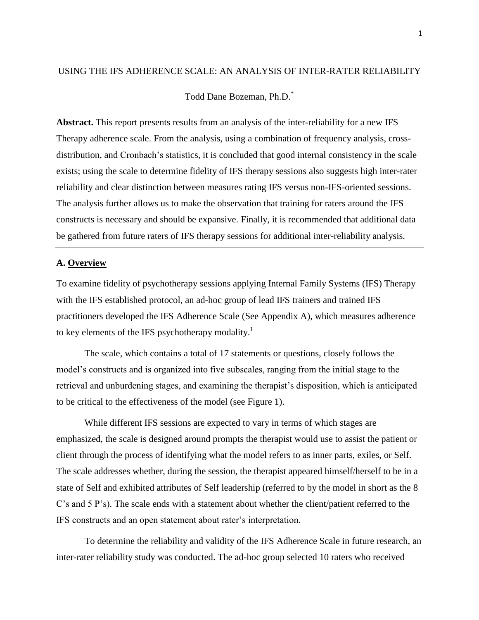### USING THE IFS ADHERENCE SCALE: AN ANALYSIS OF INTER-RATER RELIABILITY

Todd Dane Bozeman, Ph.D.\*

**Abstract.** This report presents results from an analysis of the inter-reliability for a new IFS Therapy adherence scale. From the analysis, using a combination of frequency analysis, crossdistribution, and Cronbach's statistics, it is concluded that good internal consistency in the scale exists; using the scale to determine fidelity of IFS therapy sessions also suggests high inter-rater reliability and clear distinction between measures rating IFS versus non-IFS-oriented sessions. The analysis further allows us to make the observation that training for raters around the IFS constructs is necessary and should be expansive. Finally, it is recommended that additional data be gathered from future raters of IFS therapy sessions for additional inter-reliability analysis.

## **A. Overview**

To examine fidelity of psychotherapy sessions applying Internal Family Systems (IFS) Therapy with the IFS established protocol, an ad-hoc group of lead IFS trainers and trained IFS practitioners developed the IFS Adherence Scale (See Appendix A), which measures adherence to key elements of the IFS psychotherapy modality.<sup>1</sup>

The scale, which contains a total of 17 statements or questions, closely follows the model's constructs and is organized into five subscales, ranging from the initial stage to the retrieval and unburdening stages, and examining the therapist's disposition, which is anticipated to be critical to the effectiveness of the model (see Figure 1).

While different IFS sessions are expected to vary in terms of which stages are emphasized, the scale is designed around prompts the therapist would use to assist the patient or client through the process of identifying what the model refers to as inner parts, exiles, or Self. The scale addresses whether, during the session, the therapist appeared himself/herself to be in a state of Self and exhibited attributes of Self leadership (referred to by the model in short as the 8 C's and 5 P's). The scale ends with a statement about whether the client/patient referred to the IFS constructs and an open statement about rater's interpretation.

To determine the reliability and validity of the IFS Adherence Scale in future research, an inter-rater reliability study was conducted. The ad-hoc group selected 10 raters who received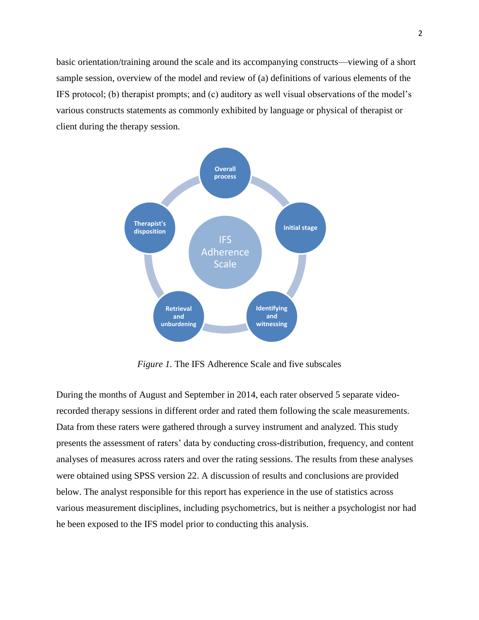basic orientation/training around the scale and its accompanying constructs—viewing of a short sample session, overview of the model and review of (a) definitions of various elements of the IFS protocol; (b) therapist prompts; and (c) auditory as well visual observations of the model's various constructs statements as commonly exhibited by language or physical of therapist or client during the therapy session.



*Figure 1.* The IFS Adherence Scale and five subscales

During the months of August and September in 2014, each rater observed 5 separate videorecorded therapy sessions in different order and rated them following the scale measurements. Data from these raters were gathered through a survey instrument and analyzed. This study presents the assessment of raters' data by conducting cross-distribution, frequency, and content analyses of measures across raters and over the rating sessions. The results from these analyses were obtained using SPSS version 22. A discussion of results and conclusions are provided below. The analyst responsible for this report has experience in the use of statistics across various measurement disciplines, including psychometrics, but is neither a psychologist nor had he been exposed to the IFS model prior to conducting this analysis.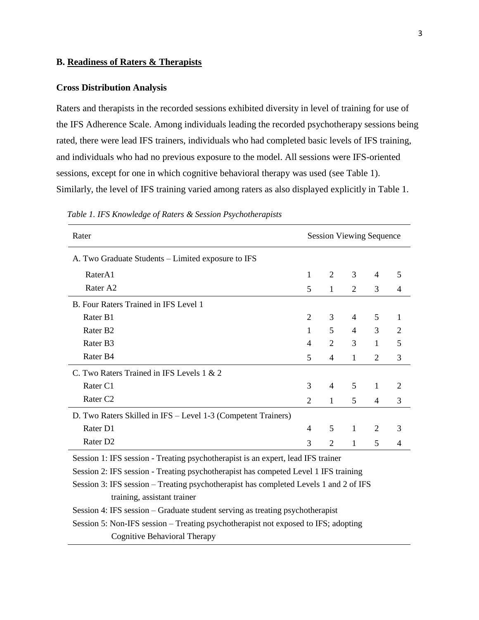### **B. Readiness of Raters & Therapists**

## **Cross Distribution Analysis**

Raters and therapists in the recorded sessions exhibited diversity in level of training for use of the IFS Adherence Scale. Among individuals leading the recorded psychotherapy sessions being rated, there were lead IFS trainers, individuals who had completed basic levels of IFS training, and individuals who had no previous exposure to the model. All sessions were IFS-oriented sessions, except for one in which cognitive behavioral therapy was used (see Table 1). Similarly, the level of IFS training varied among raters as also displayed explicitly in Table 1.

| Rater                                                                                 | <b>Session Viewing Sequence</b> |                |              |                |                |
|---------------------------------------------------------------------------------------|---------------------------------|----------------|--------------|----------------|----------------|
| A. Two Graduate Students – Limited exposure to IFS                                    |                                 |                |              |                |                |
| RaterA1                                                                               | 1                               | 2              | 3            | 4              | 5              |
| Rater A2                                                                              | 5                               | $\mathbf{1}$   | 2            | 3              | $\overline{4}$ |
| B. Four Raters Trained in IFS Level 1                                                 |                                 |                |              |                |                |
| Rater B1                                                                              | $\overline{2}$                  | 3              | 4            | 5              | 1              |
| Rater B <sub>2</sub>                                                                  | 1                               | 5              | 4            | 3              | 2              |
| Rater B3                                                                              | 4                               | $\overline{2}$ | 3            | 1              | 5              |
| Rater B4                                                                              | 5                               | 4              | 1            | 2              | 3              |
| C. Two Raters Trained in IFS Levels 1 & 2                                             |                                 |                |              |                |                |
| Rater C1                                                                              | 3                               | $\overline{4}$ | 5            | 1              | 2              |
| Rater <sub>C2</sub>                                                                   | 2                               | $\mathbf{1}$   | 5            | $\overline{4}$ | 3              |
| D. Two Raters Skilled in IFS - Level 1-3 (Competent Trainers)                         |                                 |                |              |                |                |
| Rater D1                                                                              | 4                               | 5              | $\mathbf{1}$ | 2              | 3              |
| Rater D <sub>2</sub>                                                                  | 3                               | 2              | 1            | 5              | 4              |
| Session 1: IFS session - Treating psychotherapist is an expert, lead IFS trainer      |                                 |                |              |                |                |
| Session 2: IFS session - Treating psychotherapist has competed Level 1 IFS training   |                                 |                |              |                |                |
| Session 3: IFS session – Treating psychotherapist has completed Levels 1 and 2 of IFS |                                 |                |              |                |                |
| training, assistant trainer                                                           |                                 |                |              |                |                |
| Session 4: IFS session – Graduate student serving as treating psychotherapist         |                                 |                |              |                |                |
| Session 5: Non-IFS session – Treating psychotherapist not exposed to IFS; adopting    |                                 |                |              |                |                |
| Cognitive Behavioral Therapy                                                          |                                 |                |              |                |                |

 *Table 1. IFS Knowledge of Raters & Session Psychotherapists*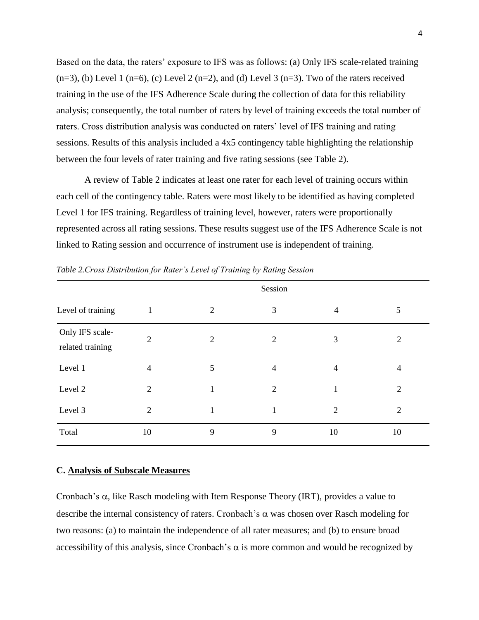Based on the data, the raters' exposure to IFS was as follows: (a) Only IFS scale-related training  $(n=3)$ , (b) Level 1 (n=6), (c) Level 2 (n=2), and (d) Level 3 (n=3). Two of the raters received training in the use of the IFS Adherence Scale during the collection of data for this reliability analysis; consequently, the total number of raters by level of training exceeds the total number of raters. Cross distribution analysis was conducted on raters' level of IFS training and rating sessions. Results of this analysis included a 4x5 contingency table highlighting the relationship between the four levels of rater training and five rating sessions (see Table 2).

A review of Table 2 indicates at least one rater for each level of training occurs within each cell of the contingency table. Raters were most likely to be identified as having completed Level 1 for IFS training. Regardless of training level, however, raters were proportionally represented across all rating sessions. These results suggest use of the IFS Adherence Scale is not linked to Rating session and occurrence of instrument use is independent of training.

|                                     |                |                | Session        |                |                |
|-------------------------------------|----------------|----------------|----------------|----------------|----------------|
| Level of training                   | $\mathbf{1}$   | $\overline{2}$ | 3              | $\overline{4}$ | 5              |
| Only IFS scale-<br>related training | $\overline{2}$ | $\mathfrak{2}$ | 2              | 3              | $\overline{2}$ |
| Level 1                             | $\overline{4}$ | 5              | $\overline{4}$ | 4              | $\overline{4}$ |
| Level 2                             | $\overline{2}$ |                | 2              | 1              | $\overline{2}$ |
| Level 3                             | $\overline{2}$ | 1              | $\mathbf{1}$   | $\overline{2}$ | $\overline{2}$ |
| Total                               | 10             | 9              | 9              | 10             | 10             |

*Table 2.Cross Distribution for Rater's Level of Training by Rating Session*

#### **C. Analysis of Subscale Measures**

Cronbach's  $\alpha$ , like Rasch modeling with Item Response Theory (IRT), provides a value to describe the internal consistency of raters. Cronbach's  $\alpha$  was chosen over Rasch modeling for two reasons: (a) to maintain the independence of all rater measures; and (b) to ensure broad accessibility of this analysis, since Cronbach's  $\alpha$  is more common and would be recognized by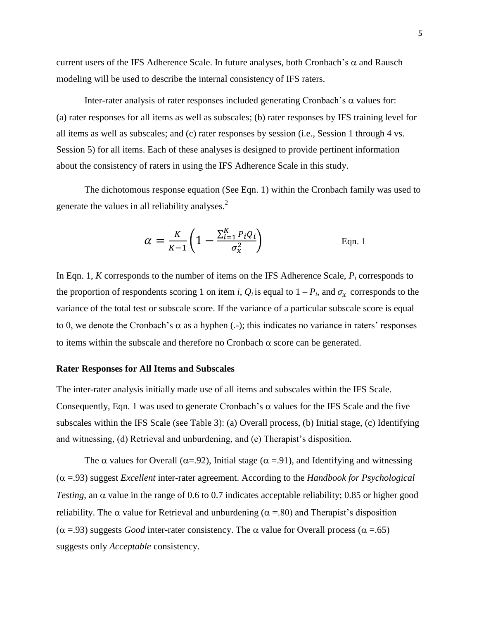current users of the IFS Adherence Scale. In future analyses, both Cronbach's  $\alpha$  and Rausch modeling will be used to describe the internal consistency of IFS raters.

Inter-rater analysis of rater responses included generating Cronbach's  $\alpha$  values for: (a) rater responses for all items as well as subscales; (b) rater responses by IFS training level for all items as well as subscales; and (c) rater responses by session (i.e., Session 1 through 4 vs. Session 5) for all items. Each of these analyses is designed to provide pertinent information about the consistency of raters in using the IFS Adherence Scale in this study.

The dichotomous response equation (See Eqn. 1) within the Cronbach family was used to generate the values in all reliability analyses.<sup>2</sup>

$$
\alpha = \frac{K}{K-1} \left( 1 - \frac{\sum_{i=1}^{K} P_i Q_i}{\sigma_x^2} \right)
$$
 Eqn. 1

In Eqn. 1, *K* corresponds to the number of items on the IFS Adherence Scale, *P<sup>i</sup>* corresponds to the proportion of respondents scoring 1 on item *i*,  $Q_i$  is equal to  $1 - P_i$ , and  $\sigma_x$  corresponds to the variance of the total test or subscale score. If the variance of a particular subscale score is equal to 0, we denote the Cronbach's  $\alpha$  as a hyphen (.-); this indicates no variance in raters' responses to items within the subscale and therefore no Cronbach  $\alpha$  score can be generated.

### **Rater Responses for All Items and Subscales**

The inter-rater analysis initially made use of all items and subscales within the IFS Scale. Consequently, Eqn. 1 was used to generate Cronbach's  $\alpha$  values for the IFS Scale and the five subscales within the IFS Scale (see Table 3): (a) Overall process, (b) Initial stage, (c) Identifying and witnessing, (d) Retrieval and unburdening, and (e) Therapist's disposition.

The  $\alpha$  values for Overall ( $\alpha$ =.92), Initial stage ( $\alpha$  =.91), and Identifying and witnessing  $(\alpha = .93)$  suggest *Excellent* inter-rater agreement. According to the *Handbook for Psychological Testing*, an  $\alpha$  value in the range of 0.6 to 0.7 indicates acceptable reliability; 0.85 or higher good reliability. The  $\alpha$  value for Retrieval and unburdening ( $\alpha$  = 80) and Therapist's disposition ( $\alpha$  =.93) suggests *Good* inter-rater consistency. The  $\alpha$  value for Overall process ( $\alpha$  =.65) suggests only *Acceptable* consistency.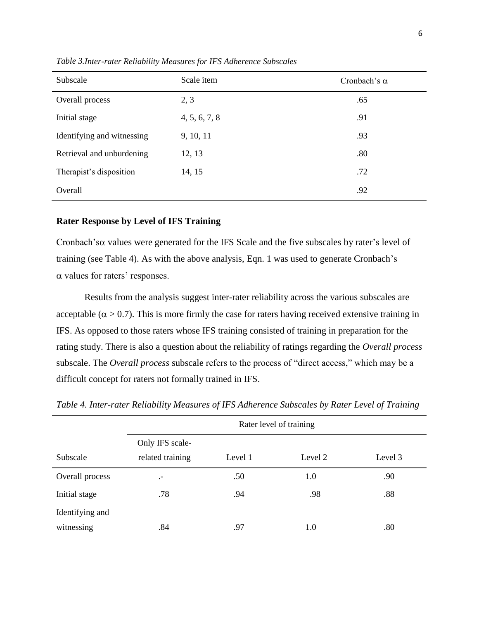| Subscale                   | Scale item    | Cronbach's $\alpha$ |
|----------------------------|---------------|---------------------|
| Overall process            | 2, 3          | .65                 |
| Initial stage              | 4, 5, 6, 7, 8 | .91                 |
| Identifying and witnessing | 9, 10, 11     | .93                 |
| Retrieval and unburdening  | 12, 13        | .80                 |
| Therapist's disposition    | 14, 15        | .72                 |
| Overall                    |               | .92                 |

*Table 3.Inter-rater Reliability Measures for IFS Adherence Subscales* 

### **Rater Response by Level of IFS Training**

Cronbach's  $\alpha$  values were generated for the IFS Scale and the five subscales by rater's level of training (see Table 4). As with the above analysis, Eqn. 1 was used to generate Cronbach's  $\alpha$  values for raters' responses.

Results from the analysis suggest inter-rater reliability across the various subscales are acceptable ( $\alpha > 0.7$ ). This is more firmly the case for raters having received extensive training in IFS. As opposed to those raters whose IFS training consisted of training in preparation for the rating study. There is also a question about the reliability of ratings regarding the *Overall process* subscale. The *Overall process* subscale refers to the process of "direct access," which may be a difficult concept for raters not formally trained in IFS.

|                 |                                     | Rater level of training |         |         |  |  |  |  |
|-----------------|-------------------------------------|-------------------------|---------|---------|--|--|--|--|
| Subscale        | Only IFS scale-<br>related training | Level 1                 | Level 2 | Level 3 |  |  |  |  |
| Overall process | $\cdot$ -                           | .50                     | 1.0     | .90     |  |  |  |  |
| Initial stage   | .78                                 | .94                     | .98     | .88     |  |  |  |  |
| Identifying and |                                     |                         |         |         |  |  |  |  |
| witnessing      | .84                                 | .97                     | 1.0     | .80     |  |  |  |  |

*Table 4. Inter-rater Reliability Measures of IFS Adherence Subscales by Rater Level of Training*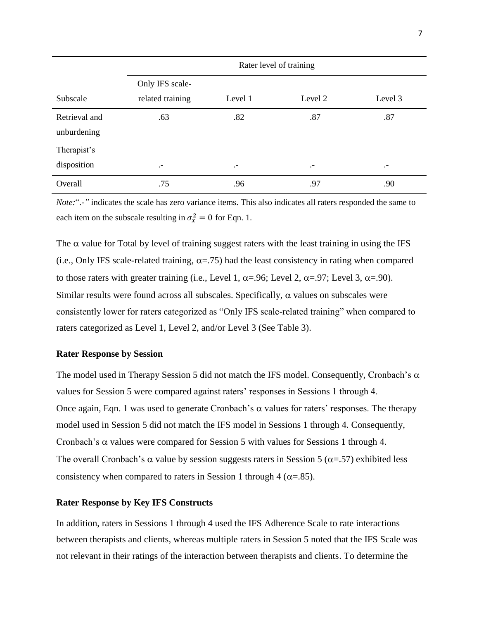|               | Rater level of training |           |           |           |  |  |
|---------------|-------------------------|-----------|-----------|-----------|--|--|
|               | Only IFS scale-         |           |           |           |  |  |
| Subscale      | related training        | Level 1   | Level 2   | Level 3   |  |  |
| Retrieval and | .63                     | .82       | .87       | .87       |  |  |
| unburdening   |                         |           |           |           |  |  |
| Therapist's   |                         |           |           |           |  |  |
| disposition   | $\cdot$ -               | $\cdot$ - | $\cdot$ - | $\cdot$ - |  |  |
| Overall       | .75                     | .96       | .97       | .90       |  |  |

*Note:*".-*"* indicates the scale has zero variance items. This also indicates all raters responded the same to each item on the subscale resulting in  $\sigma_x^2 = 0$  for Eqn. 1.

The  $\alpha$  value for Total by level of training suggest raters with the least training in using the IFS (i.e., Only IFS scale-related training,  $\alpha = .75$ ) had the least consistency in rating when compared to those raters with greater training (i.e., Level 1,  $\alpha = .96$ ; Level 2,  $\alpha = .97$ ; Level 3,  $\alpha = .90$ ). Similar results were found across all subscales. Specifically,  $\alpha$  values on subscales were consistently lower for raters categorized as "Only IFS scale-related training" when compared to raters categorized as Level 1, Level 2, and/or Level 3 (See Table 3).

### **Rater Response by Session**

The model used in Therapy Session 5 did not match the IFS model. Consequently, Cronbach's  $\alpha$ values for Session 5 were compared against raters' responses in Sessions 1 through 4. Once again, Eqn. 1 was used to generate Cronbach's  $\alpha$  values for raters' responses. The therapy model used in Session 5 did not match the IFS model in Sessions 1 through 4. Consequently, Cronbach's  $\alpha$  values were compared for Session 5 with values for Sessions 1 through 4. The overall Cronbach's  $\alpha$  value by session suggests raters in Session 5 ( $\alpha$ =.57) exhibited less consistency when compared to raters in Session 1 through 4 ( $\alpha$ =.85).

#### **Rater Response by Key IFS Constructs**

In addition, raters in Sessions 1 through 4 used the IFS Adherence Scale to rate interactions between therapists and clients, whereas multiple raters in Session 5 noted that the IFS Scale was not relevant in their ratings of the interaction between therapists and clients. To determine the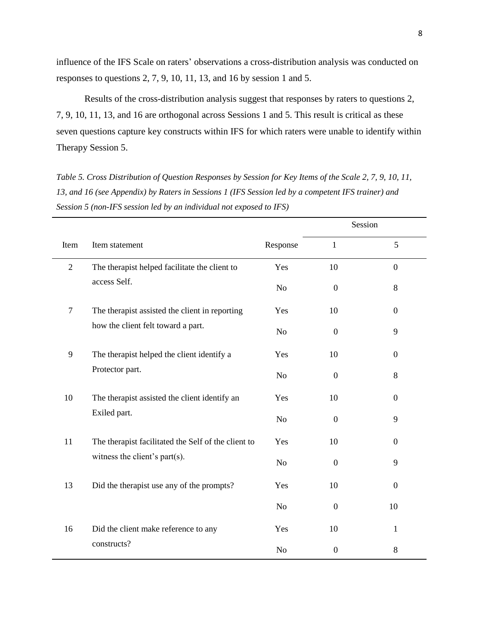influence of the IFS Scale on raters' observations a cross-distribution analysis was conducted on responses to questions 2, 7, 9, 10, 11, 13, and 16 by session 1 and 5.

Results of the cross-distribution analysis suggest that responses by raters to questions 2, 7, 9, 10, 11, 13, and 16 are orthogonal across Sessions 1 and 5. This result is critical as these seven questions capture key constructs within IFS for which raters were unable to identify within Therapy Session 5.

*Table 5. Cross Distribution of Question Responses by Session for Key Items of the Scale 2, 7, 9, 10, 11, 13, and 16 (see Appendix) by Raters in Sessions 1 (IFS Session led by a competent IFS trainer) and Session 5 (non-IFS session led by an individual not exposed to IFS)* 

|                |                                                     |                |                  | Session          |
|----------------|-----------------------------------------------------|----------------|------------------|------------------|
| Item           | Item statement                                      | Response       | $\mathbf{1}$     | 5                |
| $\overline{2}$ | The therapist helped facilitate the client to       | Yes            | 10               | $\boldsymbol{0}$ |
|                | access Self.                                        | No             | $\boldsymbol{0}$ | 8                |
| $\tau$         | The therapist assisted the client in reporting      | Yes            | 10               | $\boldsymbol{0}$ |
|                | how the client felt toward a part.                  | No             | $\boldsymbol{0}$ | 9                |
| 9              | The therapist helped the client identify a          | Yes            | 10               | $\boldsymbol{0}$ |
|                | Protector part.                                     | N <sub>o</sub> | $\boldsymbol{0}$ | 8                |
| 10             | The therapist assisted the client identify an       | Yes            | 10               | $\overline{0}$   |
|                | Exiled part.                                        | N <sub>o</sub> | $\boldsymbol{0}$ | 9                |
| 11             | The therapist facilitated the Self of the client to | Yes            | 10               | $\boldsymbol{0}$ |
|                | witness the client's part(s).                       | N <sub>o</sub> | $\boldsymbol{0}$ | 9                |
| 13             | Did the therapist use any of the prompts?           | Yes            | 10               | $\mathbf{0}$     |
|                |                                                     | N <sub>o</sub> | $\boldsymbol{0}$ | 10               |
| 16             | Did the client make reference to any                | Yes            | 10               | $\mathbf{1}$     |
|                | constructs?                                         | N <sub>o</sub> | $\boldsymbol{0}$ | 8                |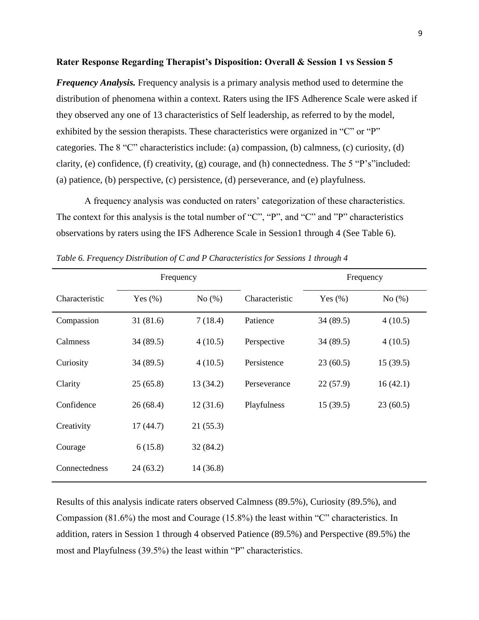#### **Rater Response Regarding Therapist's Disposition: Overall & Session 1 vs Session 5**

*Frequency Analysis.* Frequency analysis is a primary analysis method used to determine the distribution of phenomena within a context. Raters using the IFS Adherence Scale were asked if they observed any one of 13 characteristics of Self leadership, as referred to by the model, exhibited by the session therapists. These characteristics were organized in "C" or "P" categories. The 8 "C" characteristics include: (a) compassion, (b) calmness, (c) curiosity, (d) clarity, (e) confidence, (f) creativity, (g) courage, and (h) connectedness. The 5 "P's"included: (a) patience, (b) perspective, (c) persistence, (d) perseverance, and (e) playfulness.

A frequency analysis was conducted on raters' categorization of these characteristics. The context for this analysis is the total number of "C", "P", and "C" and "P" characteristics observations by raters using the IFS Adherence Scale in Session1 through 4 (See Table 6).

|                |            | Frequency |                | Frequency   |           |  |
|----------------|------------|-----------|----------------|-------------|-----------|--|
| Characteristic | Yes $(\%)$ | No $(\%)$ | Characteristic | Yes $(\% )$ | No $(\%)$ |  |
| Compassion     | 31(81.6)   | 7(18.4)   | Patience       | 34 (89.5)   | 4(10.5)   |  |
| Calmness       | 34(89.5)   | 4(10.5)   | Perspective    | 34 (89.5)   | 4(10.5)   |  |
| Curiosity      | 34(89.5)   | 4(10.5)   | Persistence    | 23(60.5)    | 15(39.5)  |  |
| Clarity        | 25(65.8)   | 13(34.2)  | Perseverance   | 22(57.9)    | 16(42.1)  |  |
| Confidence     | 26(68.4)   | 12(31.6)  | Playfulness    | 15(39.5)    | 23(60.5)  |  |
| Creativity     | 17(44.7)   | 21(55.3)  |                |             |           |  |
| Courage        | 6(15.8)    | 32(84.2)  |                |             |           |  |
| Connectedness  | 24(63.2)   | 14 (36.8) |                |             |           |  |

*Table 6. Frequency Distribution of C and P Characteristics for Sessions 1 through 4* 

Results of this analysis indicate raters observed Calmness (89.5%), Curiosity (89.5%), and Compassion (81.6%) the most and Courage (15.8%) the least within "C" characteristics. In addition, raters in Session 1 through 4 observed Patience (89.5%) and Perspective (89.5%) the most and Playfulness (39.5%) the least within "P" characteristics.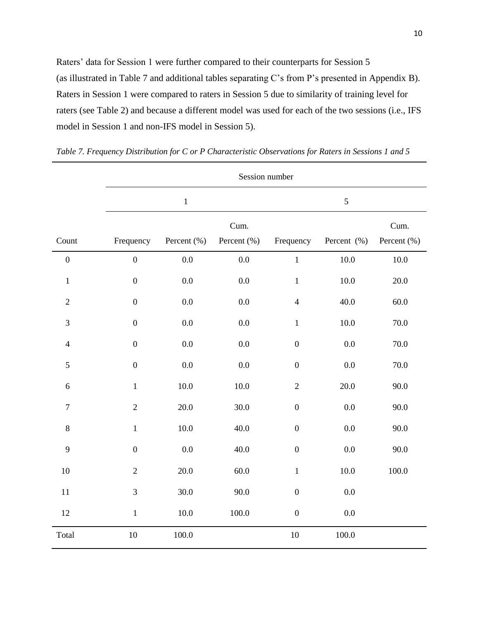Raters' data for Session 1 were further compared to their counterparts for Session 5 (as illustrated in Table 7 and additional tables separating C's from P's presented in Appendix B). Raters in Session 1 were compared to raters in Session 5 due to similarity of training level for raters (see Table 2) and because a different model was used for each of the two sessions (i.e., IFS model in Session 1 and non-IFS model in Session 5).

|                  | Session number   |             |                     |                  |             |                     |  |
|------------------|------------------|-------------|---------------------|------------------|-------------|---------------------|--|
|                  |                  | $\mathbf 1$ |                     | 5                |             |                     |  |
| Count            | Frequency        | Percent (%) | Cum.<br>Percent (%) | Frequency        | Percent (%) | Cum.<br>Percent (%) |  |
| $\boldsymbol{0}$ | $\boldsymbol{0}$ | 0.0         | $0.0\,$             | $\mathbf 1$      | 10.0        | $10.0\,$            |  |
| $\,1$            | $\boldsymbol{0}$ | $0.0\,$     | $0.0\,$             | $\mathbf{1}$     | $10.0\,$    | 20.0                |  |
| $\overline{2}$   | $\boldsymbol{0}$ | $0.0\,$     | $0.0\,$             | $\overline{4}$   | 40.0        | 60.0                |  |
| 3                | $\boldsymbol{0}$ | $0.0\,$     | $0.0\,$             | $\mathbf{1}$     | $10.0\,$    | 70.0                |  |
| $\overline{4}$   | $\boldsymbol{0}$ | 0.0         | $0.0\,$             | $\boldsymbol{0}$ | $0.0\,$     | 70.0                |  |
| 5                | $\boldsymbol{0}$ | 0.0         | $0.0\,$             | $\boldsymbol{0}$ | $0.0\,$     | 70.0                |  |
| 6                | $\mathbf{1}$     | 10.0        | $10.0\,$            | $\overline{2}$   | 20.0        | 90.0                |  |
| $\overline{7}$   | $\overline{2}$   | 20.0        | 30.0                | $\boldsymbol{0}$ | $0.0\,$     | 90.0                |  |
| $\,8\,$          | $\mathbf{1}$     | $10.0\,$    | 40.0                | $\boldsymbol{0}$ | $0.0\,$     | 90.0                |  |
| 9                | $\boldsymbol{0}$ | 0.0         | 40.0                | $\boldsymbol{0}$ | 0.0         | 90.0                |  |
| $10\,$           | $\overline{2}$   | 20.0        | 60.0                | $\mathbf 1$      | 10.0        | 100.0               |  |
| 11               | 3                | 30.0        | 90.0                | $\boldsymbol{0}$ | $0.0\,$     |                     |  |
| 12               | $\mathbf 1$      | 10.0        | 100.0               | $\boldsymbol{0}$ | $0.0\,$     |                     |  |
| Total            | 10               | 100.0       |                     | 10               | 100.0       |                     |  |

*Table 7. Frequency Distribution for C or P Characteristic Observations for Raters in Sessions 1 and 5*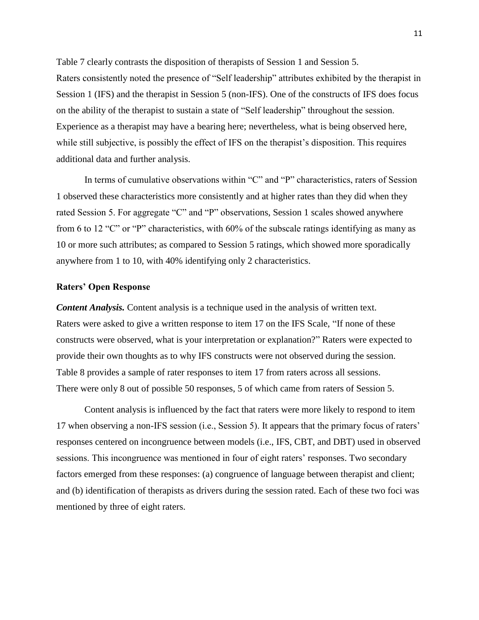Table 7 clearly contrasts the disposition of therapists of Session 1 and Session 5. Raters consistently noted the presence of "Self leadership" attributes exhibited by the therapist in Session 1 (IFS) and the therapist in Session 5 (non-IFS). One of the constructs of IFS does focus on the ability of the therapist to sustain a state of "Self leadership" throughout the session. Experience as a therapist may have a bearing here; nevertheless, what is being observed here, while still subjective, is possibly the effect of IFS on the therapist's disposition. This requires additional data and further analysis.

In terms of cumulative observations within "C" and "P" characteristics, raters of Session 1 observed these characteristics more consistently and at higher rates than they did when they rated Session 5. For aggregate "C" and "P" observations, Session 1 scales showed anywhere from 6 to 12 "C" or "P" characteristics, with 60% of the subscale ratings identifying as many as 10 or more such attributes; as compared to Session 5 ratings, which showed more sporadically anywhere from 1 to 10, with 40% identifying only 2 characteristics.

## **Raters' Open Response**

*Content Analysis.* Content analysis is a technique used in the analysis of written text. Raters were asked to give a written response to item 17 on the IFS Scale, "If none of these constructs were observed, what is your interpretation or explanation?" Raters were expected to provide their own thoughts as to why IFS constructs were not observed during the session. Table 8 provides a sample of rater responses to item 17 from raters across all sessions. There were only 8 out of possible 50 responses, 5 of which came from raters of Session 5.

Content analysis is influenced by the fact that raters were more likely to respond to item 17 when observing a non-IFS session (i.e., Session 5). It appears that the primary focus of raters' responses centered on incongruence between models (i.e., IFS, CBT, and DBT) used in observed sessions. This incongruence was mentioned in four of eight raters' responses. Two secondary factors emerged from these responses: (a) congruence of language between therapist and client; and (b) identification of therapists as drivers during the session rated. Each of these two foci was mentioned by three of eight raters.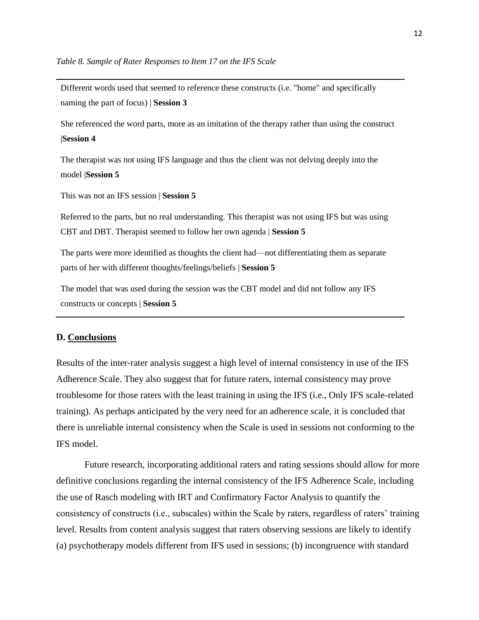Different words used that seemed to reference these constructs (i.e. "home" and specifically naming the part of focus) | **Session 3**

She referenced the word parts, more as an imitation of the therapy rather than using the construct |**Session 4**

The therapist was not using IFS language and thus the client was not delving deeply into the model |**Session 5**

This was not an IFS session | **Session 5**

Referred to the parts, but no real understanding. This therapist was not using IFS but was using CBT and DBT. Therapist seemed to follow her own agenda | **Session 5**

The parts were more identified as thoughts the client had—not differentiating them as separate parts of her with different thoughts/feelings/beliefs | **Session 5**

The model that was used during the session was the CBT model and did not follow any IFS constructs or concepts | **Session 5**

### **D. Conclusions**

Results of the inter-rater analysis suggest a high level of internal consistency in use of the IFS Adherence Scale. They also suggest that for future raters, internal consistency may prove troublesome for those raters with the least training in using the IFS (i.e., Only IFS scale-related training). As perhaps anticipated by the very need for an adherence scale, it is concluded that there is unreliable internal consistency when the Scale is used in sessions not conforming to the IFS model.

Future research, incorporating additional raters and rating sessions should allow for more definitive conclusions regarding the internal consistency of the IFS Adherence Scale, including the use of Rasch modeling with IRT and Confirmatory Factor Analysis to quantify the consistency of constructs (i.e., subscales) within the Scale by raters, regardless of raters' training level. Results from content analysis suggest that raters observing sessions are likely to identify (a) psychotherapy models different from IFS used in sessions; (b) incongruence with standard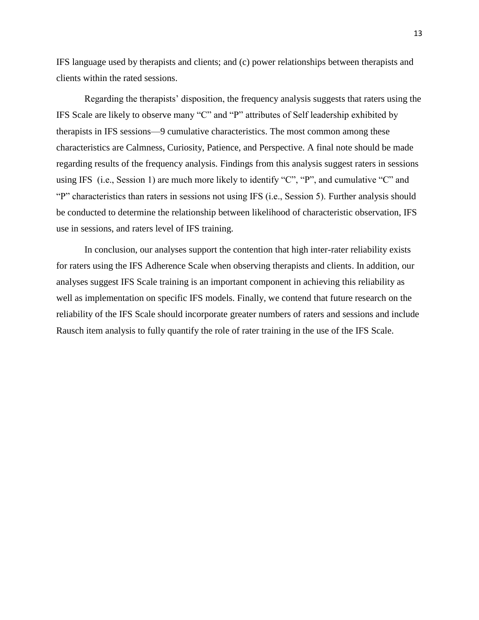IFS language used by therapists and clients; and (c) power relationships between therapists and clients within the rated sessions.

Regarding the therapists' disposition, the frequency analysis suggests that raters using the IFS Scale are likely to observe many "C" and "P" attributes of Self leadership exhibited by therapists in IFS sessions—9 cumulative characteristics. The most common among these characteristics are Calmness, Curiosity, Patience, and Perspective. A final note should be made regarding results of the frequency analysis. Findings from this analysis suggest raters in sessions using IFS (i.e., Session 1) are much more likely to identify "C", "P", and cumulative "C" and "P" characteristics than raters in sessions not using IFS (i.e., Session 5). Further analysis should be conducted to determine the relationship between likelihood of characteristic observation, IFS use in sessions, and raters level of IFS training.

In conclusion, our analyses support the contention that high inter-rater reliability exists for raters using the IFS Adherence Scale when observing therapists and clients. In addition, our analyses suggest IFS Scale training is an important component in achieving this reliability as well as implementation on specific IFS models. Finally, we contend that future research on the reliability of the IFS Scale should incorporate greater numbers of raters and sessions and include Rausch item analysis to fully quantify the role of rater training in the use of the IFS Scale.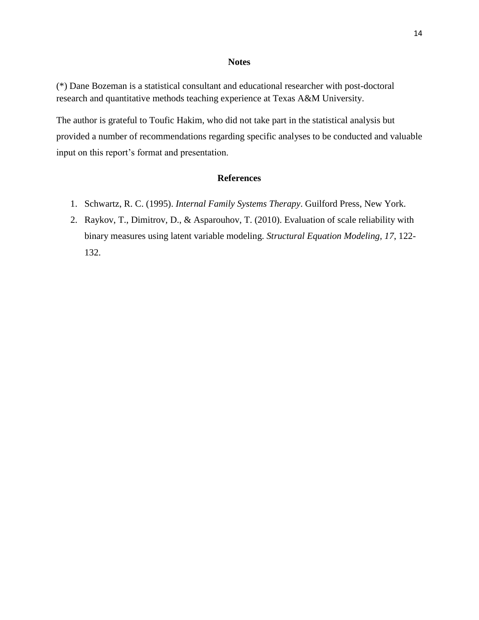#### **Notes**

(\*) Dane Bozeman is a statistical consultant and educational researcher with post-doctoral research and quantitative methods teaching experience at Texas A&M University.

The author is grateful to Toufic Hakim, who did not take part in the statistical analysis but provided a number of recommendations regarding specific analyses to be conducted and valuable input on this report's format and presentation.

## **References**

- 1. Schwartz, R. C. (1995). *Internal Family Systems Therapy*. Guilford Press, New York.
- 2. Raykov, T., Dimitrov, D., & Asparouhov, T. (2010). Evaluation of scale reliability with binary measures using latent variable modeling. *Structural Equation Modeling, 17*, 122- 132.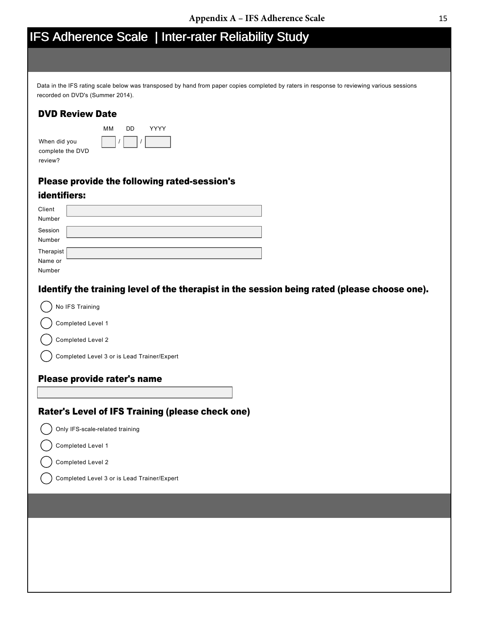# IFS Adherence Scale | Inter-rater Reliability Study

YYYY

Data in the IFS rating scale below was transposed by hand from paper copies completed by raters in response to reviewing various sessions recorded on DVD's (Summer 2014).

# DVD Review Date

|                                             | мм | חח |  |
|---------------------------------------------|----|----|--|
| When did you<br>complete the DVD<br>review? |    |    |  |
|                                             |    |    |  |

## Please provide the following rated-session's

## identifiers:

| Client               |  |
|----------------------|--|
| Number               |  |
| Session<br>Number    |  |
|                      |  |
| Therapist<br>Name or |  |
|                      |  |
| Number               |  |

## Identify the training level of the therapist in the session being rated (please choose one).

|  |  |  |  | No IFS Training |
|--|--|--|--|-----------------|
|--|--|--|--|-----------------|

Completed Level 1

Completed Level 2

Completed Level 3 or is Lead Trainer/Expert

## Please provide rater's name

## Rater's Level of IFS Training (please check one)

Only IFS-scale-related training

Completed Level 1

Completed Level 2

Completed Level 3 or is Lead Trainer/Expert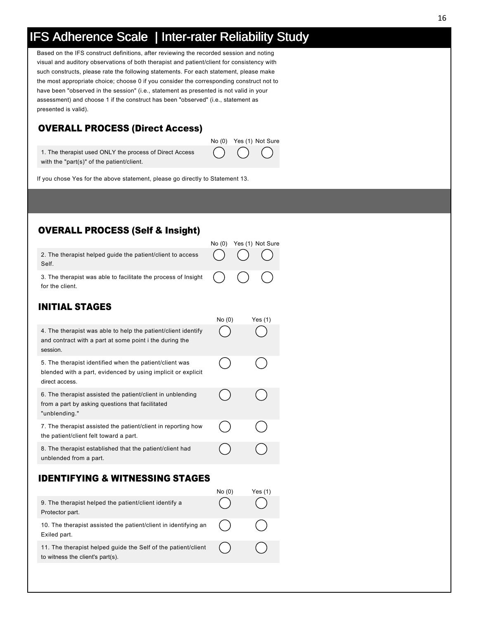# IFS Adherence Scale | Inter-rater Reliability Study

Based on the IFS construct definitions, after reviewing the recorded session and noting visual and auditory observations of both therapist and patient/client for consistency with such constructs, please rate the following statements. For each statement, please make the most appropriate choice; choose 0 if you consider the corresponding construct not to have been "observed in the session" (i.e., statement as presented is not valid in your assessment) and choose 1 if the construct has been "observed" (i.e., statement as presented is valid).

# OVERALL PROCESS (Direct Access)



1. The therapist used ONLY the process of Direct Access with the "part(s)" of the patient/client.

If you chose Yes for the above statement, please go directly to Statement 13.

# OVERALL PROCESS (Self & Insight)

|                                                                                                                 | No(0) | Yes (1) Not Sure |
|-----------------------------------------------------------------------------------------------------------------|-------|------------------|
| 2. The therapist helped guide the patient/client to access $( ) ( )$ $( )$<br>Self.                             |       |                  |
| 3. The therapist was able to facilitate the process of Insight $\binom{1}{1}$ $\binom{1}{1}$<br>for the client. |       |                  |

# INITIAL STAGES

|                                                                                                                                           | No(0) | Yes $(1)$ |
|-------------------------------------------------------------------------------------------------------------------------------------------|-------|-----------|
| 4. The therapist was able to help the patient/client identify<br>and contract with a part at some point i the during the<br>session.      |       |           |
| 5. The therapist identified when the patient/client was<br>blended with a part, evidenced by using implicit or explicit<br>direct access. |       |           |
| 6. The therapist assisted the patient/client in unblending<br>from a part by asking questions that facilitated<br>"unblending."           |       |           |
| 7. The therapist assisted the patient/client in reporting how<br>the patient/client felt toward a part.                                   |       |           |
| 8. The therapist established that the patient/client had<br>unblended from a part.                                                        |       |           |

## IDENTIFYING & WITNESSING STAGES

|                                                                                                   | No(0) | Yes (1) |
|---------------------------------------------------------------------------------------------------|-------|---------|
| 9. The therapist helped the patient/client identify a<br>Protector part.                          |       |         |
| 10. The therapist assisted the patient/client in identifying an<br>Exiled part.                   |       |         |
| 11. The therapist helped guide the Self of the patient/client<br>to witness the client's part(s). |       |         |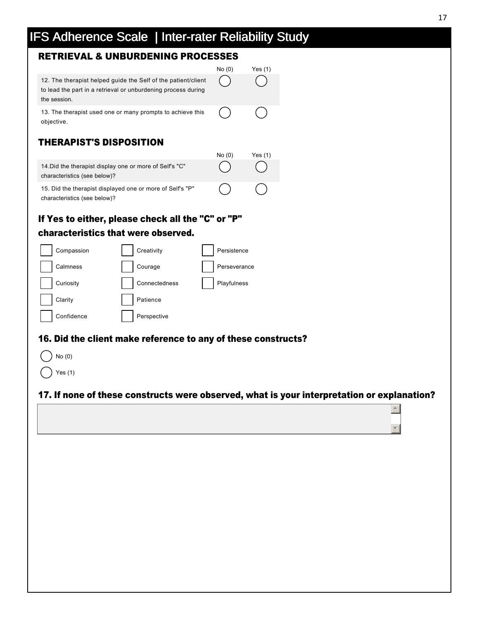# IFS Adherence Scale | Inter-rater Reliability Study

# RETRIEVAL & UNBURDENING PROCESSES

|                                                                                                                                                | No (0 | Yes (1) |
|------------------------------------------------------------------------------------------------------------------------------------------------|-------|---------|
| 12. The therapist helped guide the Self of the patient/client<br>to lead the part in a retrieval or unburdening process during<br>the session. |       |         |
| 13. The therapist used one or many prompts to achieve this<br>objective.                                                                       |       |         |
| <b>THERAPIST'S DISPOSITION</b>                                                                                                                 |       |         |

|                                                                                           | No(0) | Yes (1)    |
|-------------------------------------------------------------------------------------------|-------|------------|
| 14. Did the therapist display one or more of Self's "C"<br>characteristics (see below)?   |       | $\sqrt{2}$ |
| 15. Did the therapist displayed one or more of Self's "P"<br>characteristics (see below)? |       | (          |

# If Yes to either, please check all the "C" or "P" characteristics that were observed.



## 16. Did the client make reference to any of these constructs?

| No(0)   |
|---------|
| Yes (1) |

# 17. If none of these constructs were observed, what is your interpretation or explanation?

 $\triangle$ 

र |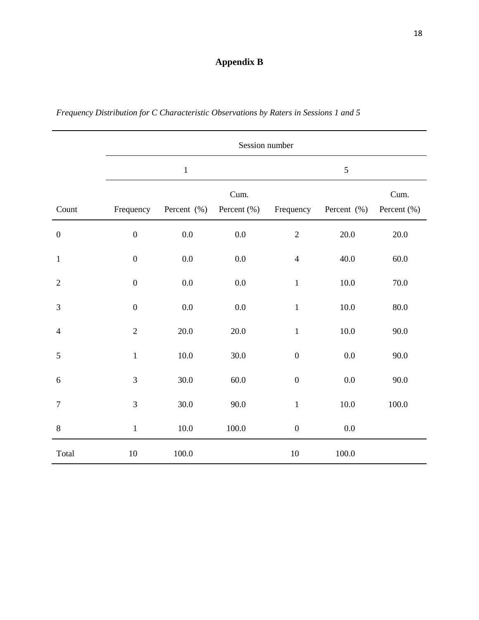# **Appendix B**

|                  | Session number   |             |                     |                  |             |                     |
|------------------|------------------|-------------|---------------------|------------------|-------------|---------------------|
|                  | $\mathbf 1$      |             |                     | 5                |             |                     |
| Count            | Frequency        | Percent (%) | Cum.<br>Percent (%) | Frequency        | Percent (%) | Cum.<br>Percent (%) |
| $\boldsymbol{0}$ | $\overline{0}$   | 0.0         | 0.0                 | $\overline{2}$   | $20.0\,$    | $20.0$              |
| $\mathbf{1}$     | $\boldsymbol{0}$ | $0.0\,$     | $0.0\,$             | $\overline{4}$   | $40.0$      | $60.0\,$            |
| $\sqrt{2}$       | $\boldsymbol{0}$ | $0.0\,$     | 0.0                 | $\mathbf 1$      | $10.0\,$    | 70.0                |
| 3                | $\boldsymbol{0}$ | $0.0\,$     | $0.0\,$             | $\mathbf{1}$     | $10.0\,$    | $80.0\,$            |
| $\overline{4}$   | $\overline{2}$   | $20.0\,$    | $20.0\,$            | $\mathbf{1}$     | $10.0\,$    | $90.0$              |
| 5                | $\,1$            | $10.0\,$    | 30.0                | $\boldsymbol{0}$ | $0.0\,$     | 90.0                |
| 6                | 3                | $30.0$      | $60.0\,$            | $\boldsymbol{0}$ | $0.0\,$     | $90.0$              |
| $\boldsymbol{7}$ | 3                | $30.0\,$    | 90.0                | $\mathbf 1$      | $10.0\,$    | $100.0\,$           |
| $8\,$            | $\,1\,$          | $10.0\,$    | $100.0\,$           | $\boldsymbol{0}$ | $0.0\,$     |                     |
| Total            | 10               | $100.0\,$   |                     | 10               | 100.0       |                     |

*Frequency Distribution for C Characteristic Observations by Raters in Sessions 1 and 5*